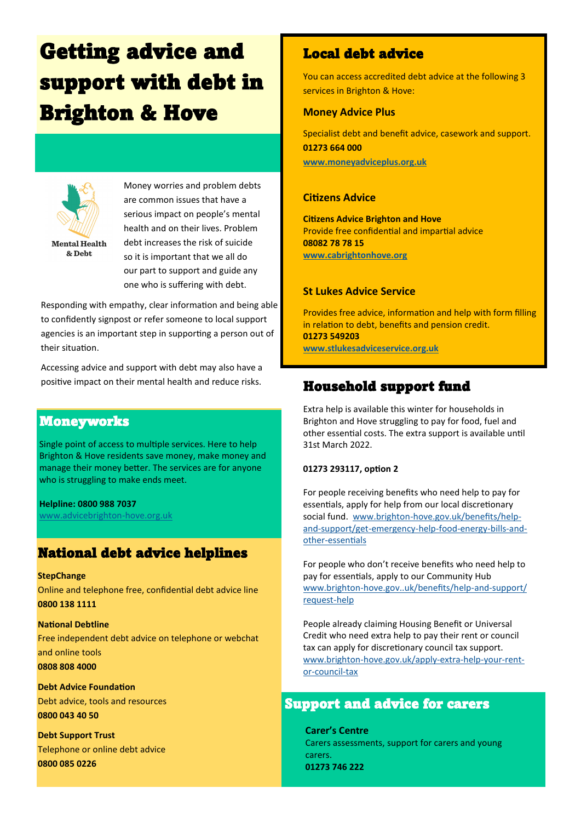# Getting advice and support with debt in Brighton & Hove



Money worries and problem debts are common issues that have a serious impact on people's mental health and on their lives. Problem debt increases the risk of suicide so it is important that we all do our part to support and guide any one who is suffering with debt.

Responding with empathy, clear information and being able to confidently signpost or refer someone to local support agencies is an important step in supporting a person out of their situation.

Accessing advice and support with debt may also have a positive impact on their mental health and reduce risks.

#### Moneyworks

Single point of access to multiple services. Here to help Brighton & Hove residents save money, make money and manage their money better. The services are for anyone who is struggling to make ends meet.

**Helpline: 0800 988 7037** [www.advicebrighton](https://www.advicebrighton-hove.org.uk/)-hove.org.uk

#### National debt advice helplines

**StepChange**  Online and telephone free, confidential debt advice line **0800 138 1111**

**National Debtline**  Free independent debt advice on telephone or webchat and online tools **0808 808 4000**

**Debt Advice Foundation**  Debt advice, tools and resources **0800 043 40 50**

**Debt Support Trust**  Telephone or online debt advice **0800 085 0226**

## Local debt advice

You can access accredited debt advice at the following 3 services in Brighton & Hove:

#### **Money Advice Plus**

Specialist debt and benefit advice, casework and support. **01273 664 000 [www.moneyadviceplus.org.uk](http://www.moneyadviceplus.org.uk)**

#### **Citizens Advice**

**Citizens Advice Brighton and Hove** Provide free confidential and impartial advice **08082 78 78 15 [www.cabrightonhove.org](http://www.cabrightonhove.org)**

#### **St Lukes Advice Service**

Provides free advice, information and help with form filling in relation to debt, benefits and pension credit. **01273 549203 [www.stlukesadviceservice.org.uk](https://www.stlukesadviceservice.org.uk)**

## Household support fund

Extra help is available this winter for households in Brighton and Hove struggling to pay for food, fuel and other essential costs. The extra support is available until 31st March 2022.

#### **01273 293117, option 2**

For people receiving benefits who need help to pay for essentials, apply for help from our local discretionary social fund. www.brighton-[hove.gov.uk/benefits/help](https://www.brighton-hove.gov.uk/benefits/help-and-support/get-emergency-help-food-energy-bills-and-other-essentials)and-[support/get](https://www.brighton-hove.gov.uk/benefits/help-and-support/get-emergency-help-food-energy-bills-and-other-essentials)-emergency-help-food-energy-bills-andother-[essentials](https://www.brighton-hove.gov.uk/benefits/help-and-support/get-emergency-help-food-energy-bills-and-other-essentials)

For people who don't receive benefits who need help to pay for essentials, apply to our Community Hub www.brighton-[hove.gov..uk/benefits/help](http://www.brighton-hove.gov..uk/benefits/help-and-support/request-help)-and-support/ [request](http://www.brighton-hove.gov..uk/benefits/help-and-support/request-help)-help

People already claiming Housing Benefit or Universal Credit who need extra help to pay their rent or council tax can apply for discretionary council tax support. www.brighton-[hove.gov.uk/apply](https://www.brighton-hove.gov.uk/apply-extra-help-your-rent-or-council-tax)-extra-help-your-rentor-[council](https://www.brighton-hove.gov.uk/apply-extra-help-your-rent-or-council-tax)-tax

### Support and advice for carers

**Carer's Centre** Carers assessments, support for carers and young carers. **01273 746 222**